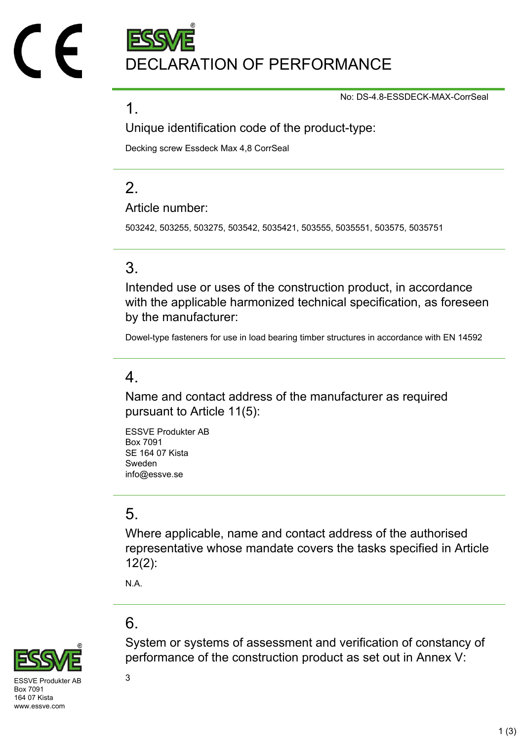DECLARATION OF PERFORMANCE

No: DS-4.8-ESSDECK-MAX-CorrSeal

### 1.

Unique identification code of the product-type:

Decking screw Essdeck Max 4,8 CorrSeal

# $\mathcal{P}$

Article number:

503242, 503255, 503275, 503542, 5035421, 503555, 5035551, 503575, 5035751

## 3.

Intended use or uses of the construction product, in accordance with the applicable harmonized technical specification, as foreseen by the manufacturer:

Dowel-type fasteners for use in load bearing timber structures in accordance with EN 14592

### 4.

Name and contact address of the manufacturer as required pursuant to Article 11(5):

ESSVE Produkter AB Box 7091 SE 164 07 Kista Sweden info@essve.se

## 5.

Where applicable, name and contact address of the authorised representative whose mandate covers the tasks specified in Article 12(2):

N.A.

# 6.



SVE Produkter AB  $3$ Box 7091 164 07 Kista www.essve.com

System or systems of assessment and verification of constancy of performance of the construction product as set out in Annex V: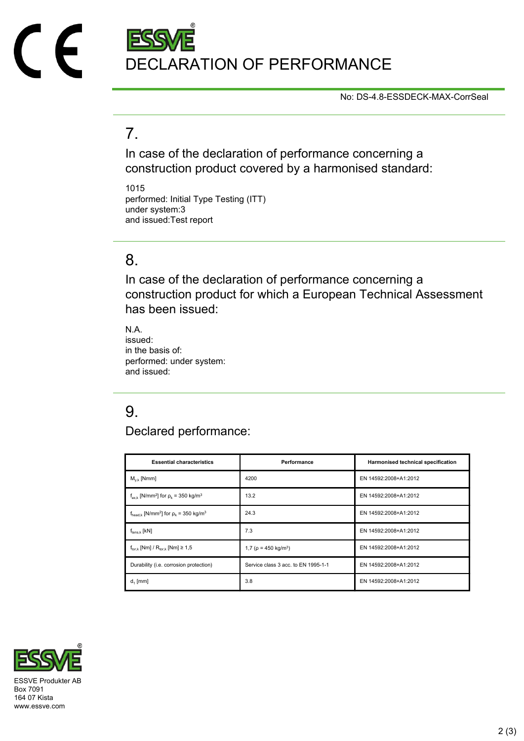# DECLARATION OF PERFORMANCE

No: DS-4.8-ESSDECK-MAX-CorrSeal

## 7.

In case of the declaration of performance concerning a construction product covered by a harmonised standard:

1015 performed: Initial Type Testing (ITT) under system:3 and issued:Test report

### 8.

In case of the declaration of performance concerning a construction product for which a European Technical Assessment has been issued:

N.A. issued: in the basis of: performed: under system: and issued:

# 9.

Declared performance:

| <b>Essential characteristics</b>                                              | Performance                            | Harmonised technical specification |
|-------------------------------------------------------------------------------|----------------------------------------|------------------------------------|
| $M_{v k}$ [Nmm]                                                               | 4200                                   | EN 14592:2008+A1:2012              |
| $f_{ax,k}$ [N/mm <sup>2</sup> ] for $\rho_k$ = 350 kg/m <sup>3</sup>          | 13.2                                   | EN 14592:2008+A1:2012              |
| $f_{\text{head},k}$ [N/mm <sup>2</sup> ] for $\rho_k$ = 350 kg/m <sup>3</sup> | 24.3                                   | EN 14592:2008+A1:2012              |
| $f_{tens.k}$ [kN]                                                             | 7.3                                    | EN 14592:2008+A1:2012              |
| $f_{\text{tor }k}$ [Nm] / $R_{\text{tor }k}$ [Nm] $\geq 1.5$                  | 1,7 ( $\rho$ = 450 kg/m <sup>3</sup> ) | EN 14592:2008+A1:2012              |
| Durability (i.e. corrosion protection)                                        | Service class 3 acc. to EN 1995-1-1    | EN 14592:2008+A1:2012              |
| $d_1$ [mm]                                                                    | 3.8                                    | EN 14592:2008+A1:2012              |



Box 7091 164 07 Kista www.essve.com